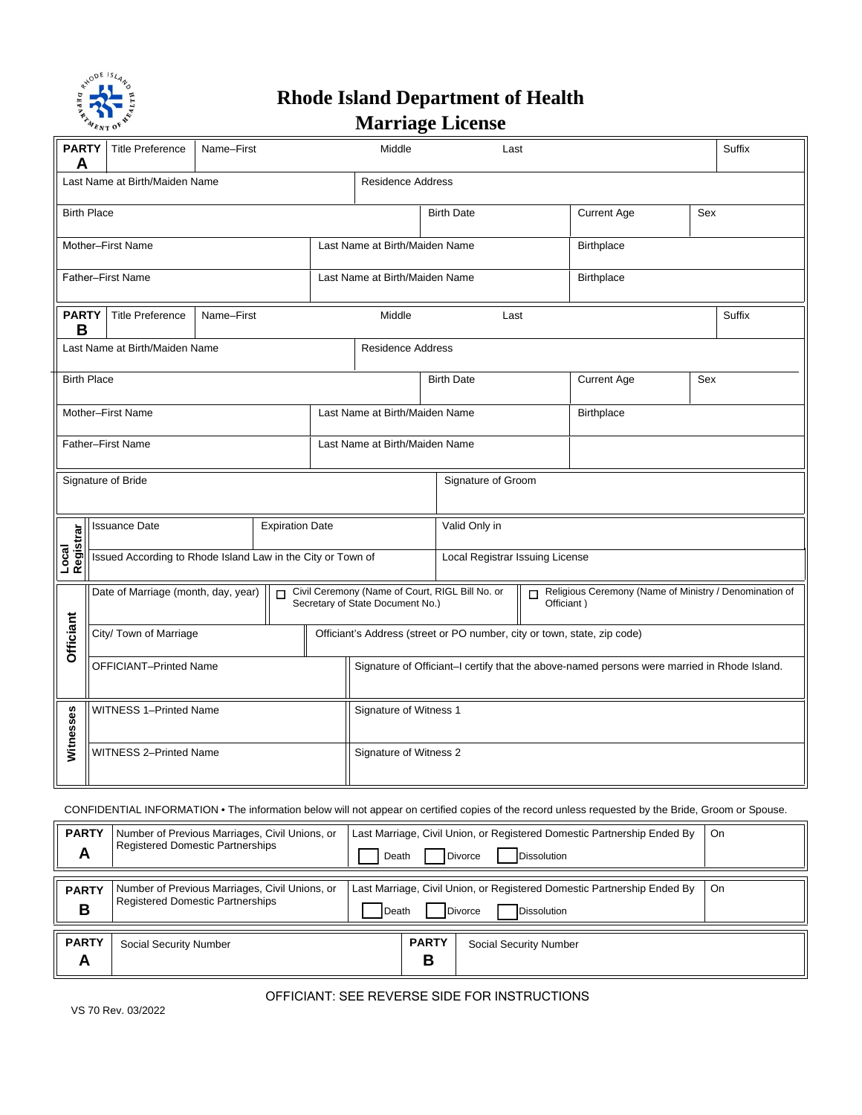

## **Rhode Island Department of Health Marriage License**

| <b>PARTY</b><br>A                                          | <b>Title Preference</b><br>Name-First                       |  | Middle<br>Last |                                                                          |                                  |                                                                                             | Suffix                          |                                                                      |                    |     |  |
|------------------------------------------------------------|-------------------------------------------------------------|--|----------------|--------------------------------------------------------------------------|----------------------------------|---------------------------------------------------------------------------------------------|---------------------------------|----------------------------------------------------------------------|--------------------|-----|--|
| Last Name at Birth/Maiden Name<br><b>Residence Address</b> |                                                             |  |                |                                                                          |                                  |                                                                                             |                                 |                                                                      |                    |     |  |
| <b>Birth Place</b>                                         |                                                             |  |                |                                                                          |                                  | <b>Birth Date</b>                                                                           |                                 |                                                                      | <b>Current Age</b> | Sex |  |
| Mother-First Name                                          |                                                             |  |                |                                                                          |                                  | Last Name at Birth/Maiden Name                                                              |                                 |                                                                      | Birthplace         |     |  |
| Father-First Name                                          |                                                             |  |                |                                                                          | Last Name at Birth/Maiden Name   |                                                                                             |                                 | <b>Birthplace</b>                                                    |                    |     |  |
| <b>PARTY</b><br>B                                          | <b>Title Preference</b><br>Name-First                       |  |                | Middle                                                                   | Last                             |                                                                                             |                                 |                                                                      | Suffix             |     |  |
| Last Name at Birth/Maiden Name                             |                                                             |  |                |                                                                          | <b>Residence Address</b>         |                                                                                             |                                 |                                                                      |                    |     |  |
| <b>Birth Place</b>                                         |                                                             |  |                |                                                                          |                                  | <b>Birth Date</b>                                                                           |                                 |                                                                      | <b>Current Age</b> | Sex |  |
| Mother-First Name                                          |                                                             |  |                |                                                                          |                                  | Last Name at Birth/Maiden Name                                                              |                                 |                                                                      | Birthplace         |     |  |
| <b>Father-First Name</b>                                   |                                                             |  |                |                                                                          |                                  | Last Name at Birth/Maiden Name                                                              |                                 |                                                                      |                    |     |  |
| Signature of Bride                                         |                                                             |  |                |                                                                          |                                  | Signature of Groom                                                                          |                                 |                                                                      |                    |     |  |
|                                                            | <b>Expiration Date</b><br><b>Issuance Date</b>              |  |                |                                                                          |                                  | Valid Only in                                                                               |                                 |                                                                      |                    |     |  |
| Local<br>Registrar                                         | Issued According to Rhode Island Law in the City or Town of |  |                |                                                                          |                                  |                                                                                             | Local Registrar Issuing License |                                                                      |                    |     |  |
|                                                            | Date of Marriage (month, day, year)<br>$\Box$               |  |                |                                                                          | Secretary of State Document No.) | Civil Ceremony (Name of Court, RIGL Bill No. or                                             | П                               | Religious Ceremony (Name of Ministry / Denomination of<br>Officiant) |                    |     |  |
| Officiant                                                  | City/ Town of Marriage                                      |  |                | Officiant's Address (street or PO number, city or town, state, zip code) |                                  |                                                                                             |                                 |                                                                      |                    |     |  |
|                                                            | <b>OFFICIANT-Printed Name</b>                               |  |                |                                                                          |                                  | Signature of Officiant-I certify that the above-named persons were married in Rhode Island. |                                 |                                                                      |                    |     |  |
| Witnesses                                                  | <b>WITNESS 1-Printed Name</b>                               |  |                |                                                                          | Signature of Witness 1           |                                                                                             |                                 |                                                                      |                    |     |  |
|                                                            | <b>WITNESS 2-Printed Name</b>                               |  |                |                                                                          |                                  | Signature of Witness 2                                                                      |                                 |                                                                      |                    |     |  |

## CONFIDENTIAL INFORMATION • The information below will not appear on certified copies of the record unless requested by the Bride, Groom or Spouse.

| <b>PARTY</b><br>A | Number of Previous Marriages, Civil Unions, or<br><b>Registered Domestic Partnerships</b>                                                                                                               | Last Marriage, Civil Union, or Registered Domestic Partnership Ended By<br><b>Divorce</b><br><b>Dissolution</b><br>Death |                   |                        | On |
|-------------------|---------------------------------------------------------------------------------------------------------------------------------------------------------------------------------------------------------|--------------------------------------------------------------------------------------------------------------------------|-------------------|------------------------|----|
| <b>PARTY</b><br>В | Last Marriage, Civil Union, or Registered Domestic Partnership Ended By<br>Number of Previous Marriages, Civil Unions, or<br><b>Registered Domestic Partnerships</b><br>Dissolution<br>Divorce<br>Death |                                                                                                                          |                   |                        |    |
| <b>PARTY</b><br>A | <b>Social Security Number</b>                                                                                                                                                                           |                                                                                                                          | <b>PARTY</b><br>в | Social Security Number |    |

## OFFICIANT: SEE REVERSE SIDE FOR INSTRUCTIONS